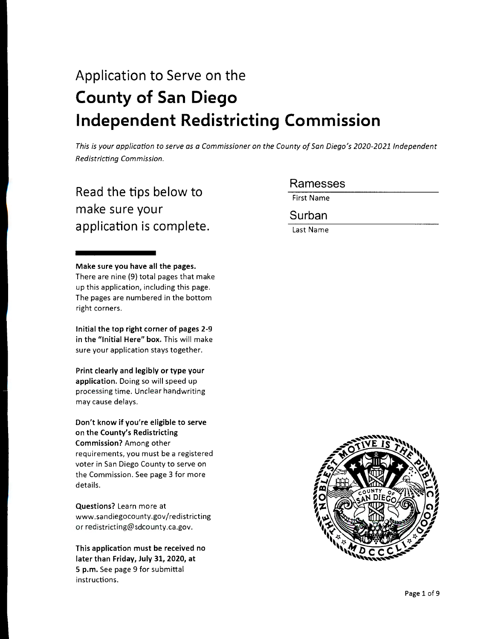# Application to Serve on the **County of San Diego Independent Redistricting Commission**

*This is your application to serve as a Commissioner on the County of San Diego's 2020-2021 Independent Redistricting Commission.* 

# Read the tips below to make sure your application is complete.

**Make sure you have all the pages.**  There are nine (9) total pages that make up this application, including this page. The pages are numbered in the bottom right corners.

**Initial the top right corner of pages 2-9**  in the "Initial Here" box. This will make sure your application stays together.

**Print clearly and legibly or type your application.** Doing so will speed up processing time. Unclear handwriting may cause delays.

**Don't know if you're eligible to serve on the County's Redistricting Commission?** Among other requirements, you must be a registered voter in San Diego County to serve on the Commission. See page 3 for more details.

**Questions?** Learn more at www.sandiegocounty.gov/redistricting or redistricting@sdcounty.ca.gov.

**This application must be received no later than Friday, July 31, 2020, at 5 p.m.** See page 9 for submittal instructions.

# Ramesses

First Name

Surban

Last Name

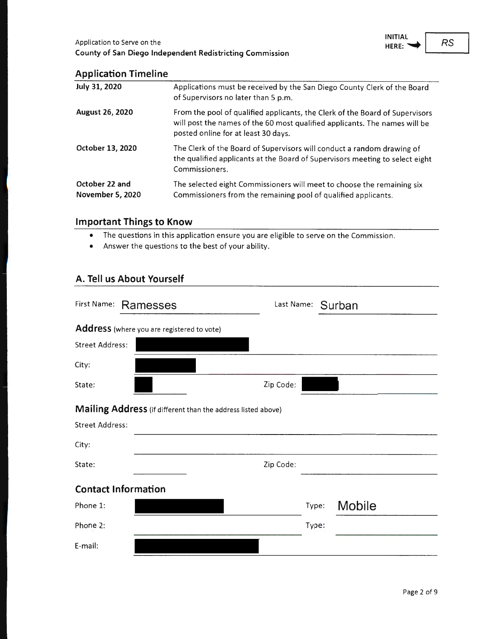

## **Application Timeline**

| July 31, 2020                      | Applications must be received by the San Diego County Clerk of the Board<br>of Supervisors no later than 5 p.m.                                                                                   |
|------------------------------------|---------------------------------------------------------------------------------------------------------------------------------------------------------------------------------------------------|
| August 26, 2020                    | From the pool of qualified applicants, the Clerk of the Board of Supervisors<br>will post the names of the 60 most qualified applicants. The names will be<br>posted online for at least 30 days. |
| October 13, 2020                   | The Clerk of the Board of Supervisors will conduct a random drawing of<br>the qualified applicants at the Board of Supervisors meeting to select eight<br>Commissioners.                          |
| October 22 and<br>November 5, 2020 | The selected eight Commissioners will meet to choose the remaining six<br>Commissioners from the remaining pool of qualified applicants.                                                          |

## **Important Things to Know**

- The questions in this application ensure you are eligible to serve on the Commission .
- Answer the questions to the best of your ability.

## **A. Tell us About Yourself**

| First Name:            | Ramesses                                                     |           |       | Last Name: Surban |
|------------------------|--------------------------------------------------------------|-----------|-------|-------------------|
|                        | Address (where you are registered to vote)                   |           |       |                   |
| <b>Street Address:</b> |                                                              |           |       |                   |
| City:                  |                                                              |           |       |                   |
| State:                 |                                                              | Zip Code: |       |                   |
|                        | Mailing Address (if different than the address listed above) |           |       |                   |
| <b>Street Address:</b> |                                                              |           |       |                   |
| City:                  |                                                              |           |       |                   |
| State:                 |                                                              | Zip Code: |       |                   |
|                        | <b>Contact Information</b>                                   |           |       |                   |
| Phone 1:               |                                                              |           | Type: | <b>Mobile</b>     |
| Phone 2:               |                                                              |           | Type: |                   |
| E-mail:                |                                                              |           |       |                   |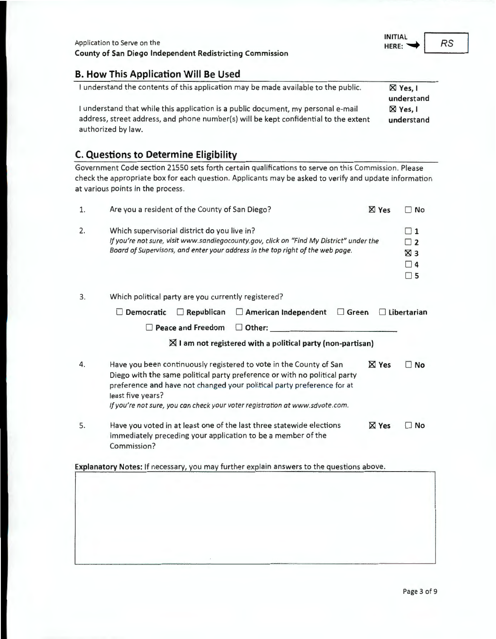#### **B. How This Application Will Be Used**

| I understand the contents of this application may be made available to the public.   | $\boxtimes$ Yes, I |
|--------------------------------------------------------------------------------------|--------------------|
|                                                                                      | understand         |
| I understand that while this application is a public document, my personal e-mail    | $\boxtimes$ Yes, I |
| address, street address, and phone number(s) will be kept confidential to the extent | understand         |
| authorized by law.                                                                   |                    |

## **C. Questions to Determine Eligibility**

Government Code section 21550 sets forth certain qualifications to serve on this Commission. Please check the appropriate box for each question. Applicants may be asked to verify and update information at various points in the process .

| 1. | Are you a resident of the County of San Diego?                                                                                                                                                                                                                                                                                 |              | $\Box$ No                                                                  |
|----|--------------------------------------------------------------------------------------------------------------------------------------------------------------------------------------------------------------------------------------------------------------------------------------------------------------------------------|--------------|----------------------------------------------------------------------------|
| 2. | Which supervisorial district do you live in?<br>If you're not sure, visit www.sandiegocounty.gov, click on "Find My District" under the<br>Board of Supervisors, and enter your address in the top right of the web page.                                                                                                      |              | $\sqsupset$ 1<br>$\overline{1}$<br>$\boxtimes$ 3<br>$\sqcap$ 4<br>$\Box$ 5 |
| 3. | Which political party are you currently registered?                                                                                                                                                                                                                                                                            |              |                                                                            |
|    | Democratic<br>$\Box$ Republican<br>$\Box$ American Independent<br>$\Box$ Green                                                                                                                                                                                                                                                 |              | $\Box$ Libertarian                                                         |
|    | <b>Peace and Freedom</b><br>$\Box$ Other:                                                                                                                                                                                                                                                                                      |              |                                                                            |
|    | $\boxtimes$ I am not registered with a political party (non-partisan)                                                                                                                                                                                                                                                          |              |                                                                            |
| 4. | Have you been continuously registered to vote in the County of San<br>Diego with the same political party preference or with no political party<br>preference and have not changed your political party preference for at<br>least five years?<br>If you're not sure, you can check your voter registration at www.sdvote.com. | <b>X</b> Yes | No                                                                         |
| 5. | Have you voted in at least one of the last three statewide elections<br><b>X</b> Yes<br>∏ No<br>immediately preceding your application to be a member of the<br>Commission?                                                                                                                                                    |              |                                                                            |
|    | Explanatory Notes: If necessary, you may further explain answers to the questions above.                                                                                                                                                                                                                                       |              |                                                                            |
|    |                                                                                                                                                                                                                                                                                                                                |              |                                                                            |

RS

**INITIAL**  HERE: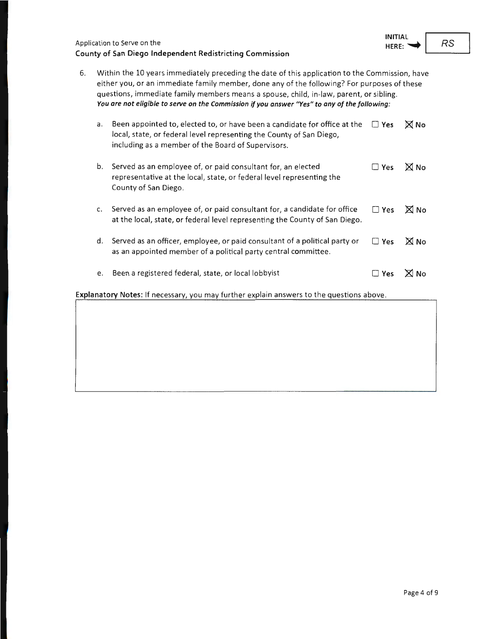| Application to Serve on the                              |  |
|----------------------------------------------------------|--|
| County of San Diego Independent Redistricting Commission |  |

|    | You are not eligible to serve on the Commission if you answer "Yes" to any of the following:   |
|----|------------------------------------------------------------------------------------------------|
|    | questions, immediate family members means a spouse, child, in-law, parent, or sibling.         |
|    | either you, or an immediate family member, done any of the following? For purposes of these    |
| 6. | Within the 10 years immediately preceding the date of this application to the Commission, have |

| a. | Been appointed to, elected to, or have been a candidate for office at the<br>local, state, or federal level representing the County of San Diego,<br>including as a member of the Board of Supervisors. | $\Box$ Yes | <b>X</b> No |
|----|---------------------------------------------------------------------------------------------------------------------------------------------------------------------------------------------------------|------------|-------------|
| b. | Served as an employee of, or paid consultant for, an elected<br>representative at the local, state, or federal level representing the<br>County of San Diego.                                           | $\Box$ Yes | <b>N</b> No |
| c. | Served as an employee of, or paid consultant for, a candidate for office<br>at the local, state, or federal level representing the County of San Diego.                                                 | $\Box$ Yes | $\times$ No |
| d. | Served as an officer, employee, or paid consultant of a political party or<br>as an appointed member of a political party central committee.                                                            | $\Box$ Yes | <b>X</b> No |

e. Been a registered federal, state, or local lobbyist  $\Box$  **Yes**  $\boxtimes$  No

**Explanatory Notes:** If necessary, you may further explain answers to the questions above.

RS

**INITIAL HERE:~**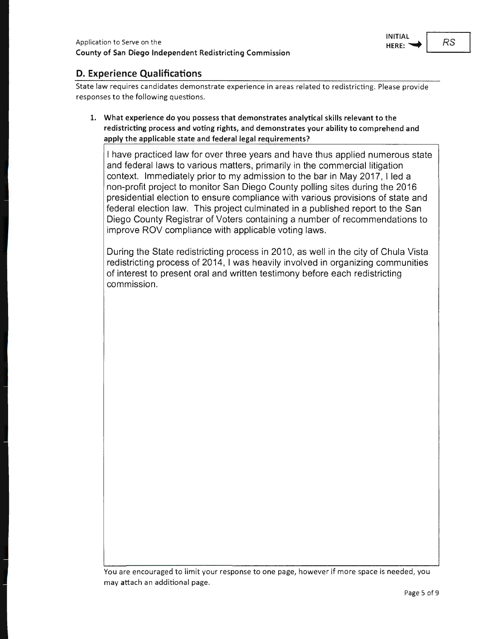

# **D. Experience Qualifications**

State law requires candidates demonstrate experience in areas related to redistricting. Please provide responses to the following questions.

**1. What experience do you possess that demonstrates analytical skills relevant to the redistricting process and voting rights, and demonstrates your ability to comprehend and apply the applicable state and federal legal requirements?** 

I have practiced law for over three years and have thus applied numerous state and federal laws to various matters, primarily in the commercial litigation context. Immediately prior to my admission to the bar in May 2017, I led a non-profit project to monitor San Diego County polling sites during the 2016 presidential election to ensure compliance with various provisions of state and federal election law. This project culminated in a published report to the San Diego County Registrar of Voters containing a number of recommendations to improve ROV compliance with applicable voting laws.

During the State redistricting process in 2010, as well in the city of Chula Vista redistricting process of 2014, I was heavily involved in organizing communities of interest to present oral and written testimony before each redistricting commission.

You are encouraged to limit your response to one page, however if more space is needed, you may attach an additional page.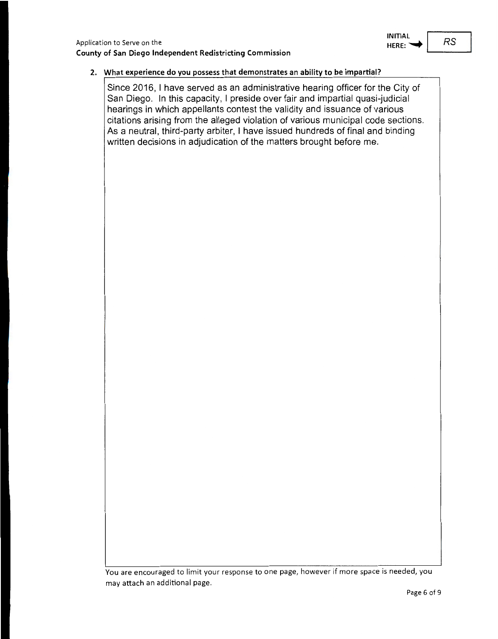

#### **2. What experience do you possess that demonstrates an ability to be impartial?**

Since 2016, I have served as an administrative hearing officer for the City of San Diego. In this capacity, I preside over fair and impartial quasi-judicial hearings in which appellants contest the validity and issuance of various citations arising from the alleged violation of various municipal code sections. As a neutral, third-party arbiter, I have issued hundreds of final and binding written decisions in adjudication of the matters brought before me.

You are encouraged to limit your response to one page, however if more space is needed, you may attach an additional page.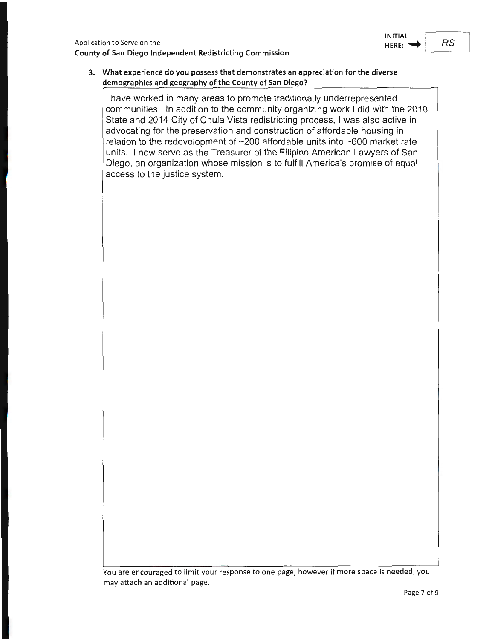

#### **3. What experience do you possess that demonstrates an appreciation for the diverse demographics and geography of the County of San Diego?**

I have worked in many areas to promote traditionally underrepresented communities. In addition to the community organizing work I did with the 2010 State and 2014 City of Chula Vista redistricting process, I was also active in advocating for the preservation and construction of affordable housing in relation to the redevelopment of ~200 affordable units into ~600 market rate units. I now serve as the Treasurer of the Filipino American Lawyers of San Diego, an organization whose mission is to fulfill America's promise of equal access to the justice system.

You are encouraged to limit your response to one page, however if more space is needed, you may attach an additional page.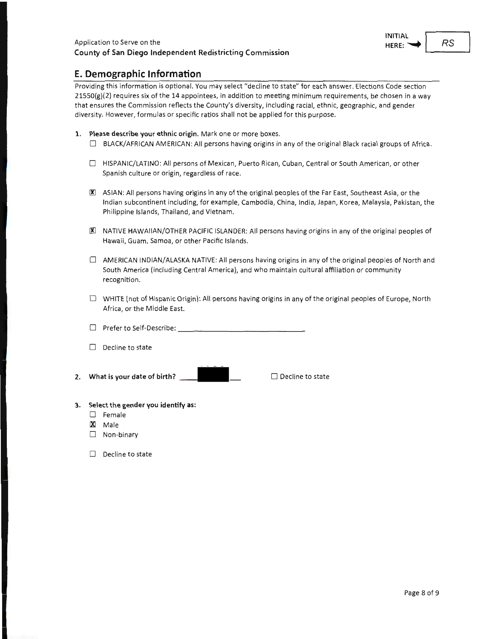

#### **E. Demographic Information**

Providing this information is optional. You may select "decline to state" for each answer. Elections Code section  $21550(g)(2)$  requires six of the 14 appointees, in addition to meeting minimum requirements, be chosen in a way that ensures the Commission reflects the County's diversity, including racial, ethnic, geographic, and gender diversity. However, formulas or specific ratios shall not be applied for this purpose.

- **1. Please describe your ethnic origin.** Mark one or more boxes.
	- $\Box$  BLACK/AFRICAN AMERICAN: All persons having origins in any of the original Black racial groups of Africa.
	- □ HISPANIC/LATINO: All persons of Mexican, Puerto Rican, Cuban, Central or South American, or other Spanish culture or origin, regardless of race.
	- 图 ASIAN: All persons having origins in any of the original peoples of the Far East, Southeast Asia, or the Indian subcontinent including, for example, Cambodia, China, India, Japan, Korea, Malaysia, Pakistan, the Philippine Islands, Thailand, and Vietnam.
	- 00 NATIVE HAWAIIAN/OTHER PACIFIC ISLANDER: All persons having origins in any of the original peoples of Hawaii, Guam, Samoa, or other Pacific Islands.
	- $\Box$  AMERICAN INDIAN/ALASKA NATIVE: All persons having origins in any of the original peoples of North and South America (including Central America), and who maintain cultural affiliation or community recognition.
	- D WHITE (not of Hispanic Origin): All persons having origins in any of the original peoples of Europe, North Africa, or the Middle East.
	- <sup>D</sup>Prefer to Self-Describe: \_\_\_\_\_\_\_\_\_\_\_\_\_\_ \_
	- $\Box$  Decline to state
- **2. What is your date of birth? \_\_ \_**

 $\Box$  Decline to state

- **3. Select the gender you identify as:** 
	- D Female
	- IXl Male
	- $\Box$  Non-binary
	- $\Box$  Decline to state